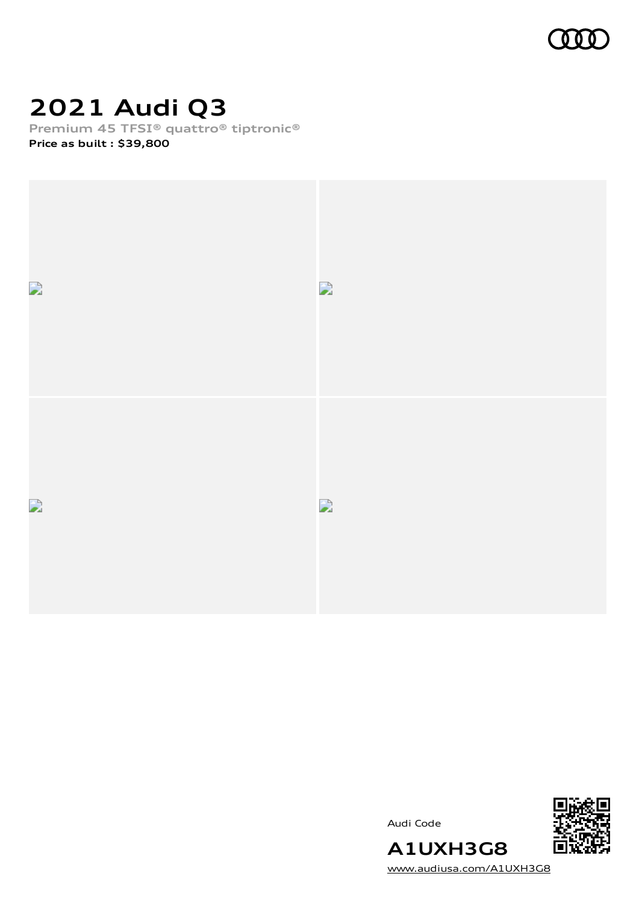

# **2021 Audi Q3**

**Premium 45 TFSI® quattro® tiptronic®**

**Price as built [:](#page-10-0) \$39,800**





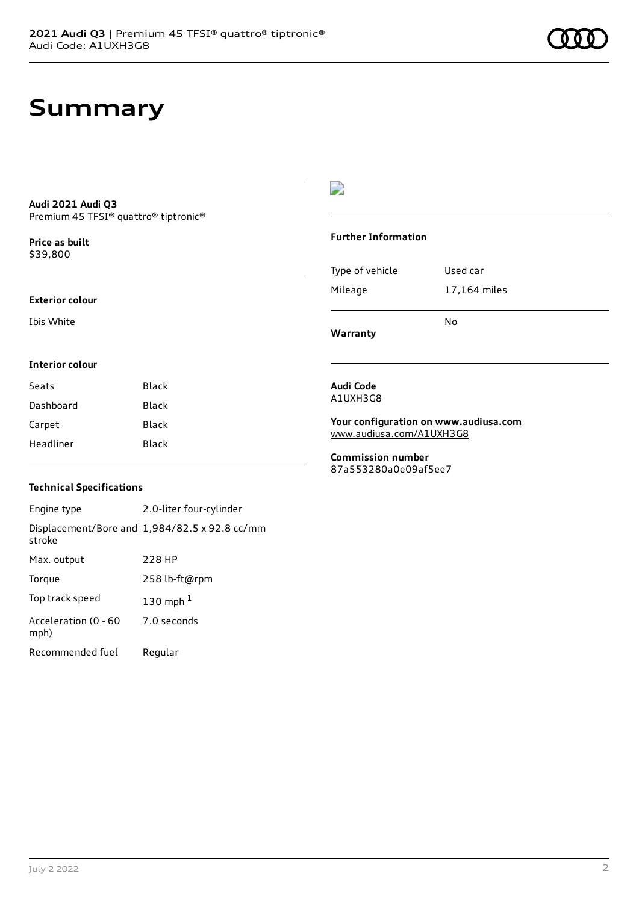## **Summary**

#### **Audi 2021 Audi Q3** Premium 45 TFSI® quattro® tiptronic®

**Price as buil[t](#page-10-0)** \$39,800

#### **Exterior colour**

Ibis White

### D

#### **Further Information**

|                 | No           |
|-----------------|--------------|
| Mileage         | 17,164 miles |
| Type of vehicle | Used car     |

**Warranty**

#### **Interior colour**

| Seats     | Black |
|-----------|-------|
| Dashboard | Black |
| Carpet    | Black |
| Headliner | Black |

#### **Audi Code** A1UXH3G8

**Your configuration on www.audiusa.com** [www.audiusa.com/A1UXH3G8](https://www.audiusa.com/A1UXH3G8)

**Commission number** 87a553280a0e09af5ee7

#### **Technical Specifications**

Engine type 2.0-liter four-cylinder Displacement/Bore and 1,984/82.5 x 92.8 cc/mm stroke Max. output 228 HP Torque 258 lb-ft@rpm Top track speed [1](#page-10-0)30 mph $<sup>1</sup>$ </sup> Acceleration (0 - 60 mph) 7.0 seconds Recommended fuel Regular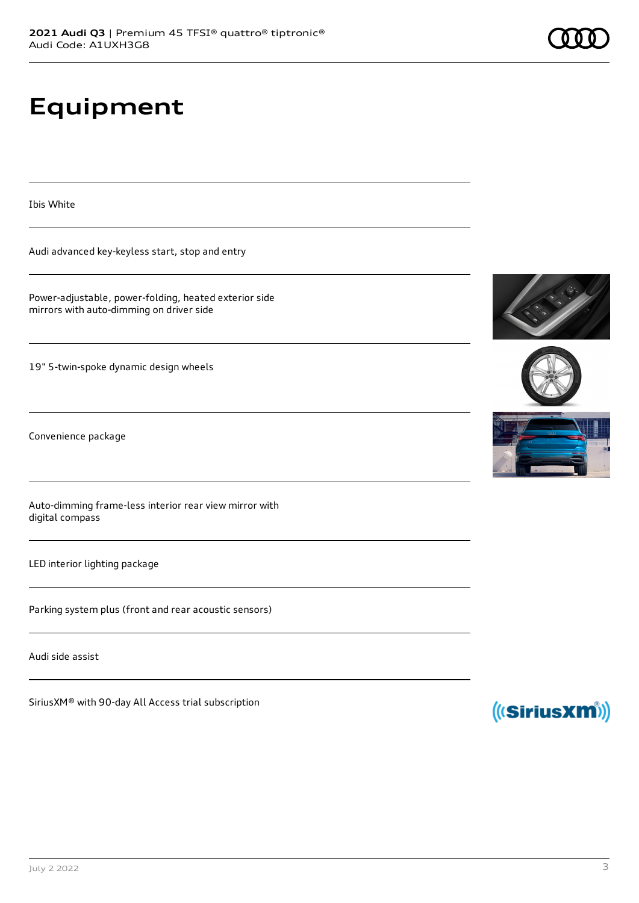# **Equipment**

Ibis White

Audi advanced key-keyless start, stop and entry

Power-adjustable, power-folding, heated exterior side mirrors with auto-dimming on driver side

19" 5-twin-spoke dynamic design wheels

Convenience package

Auto-dimming frame-less interior rear view mirror with digital compass

LED interior lighting package

Parking system plus (front and rear acoustic sensors)

Audi side assist

SiriusXM® with 90-day All Access trial subscription









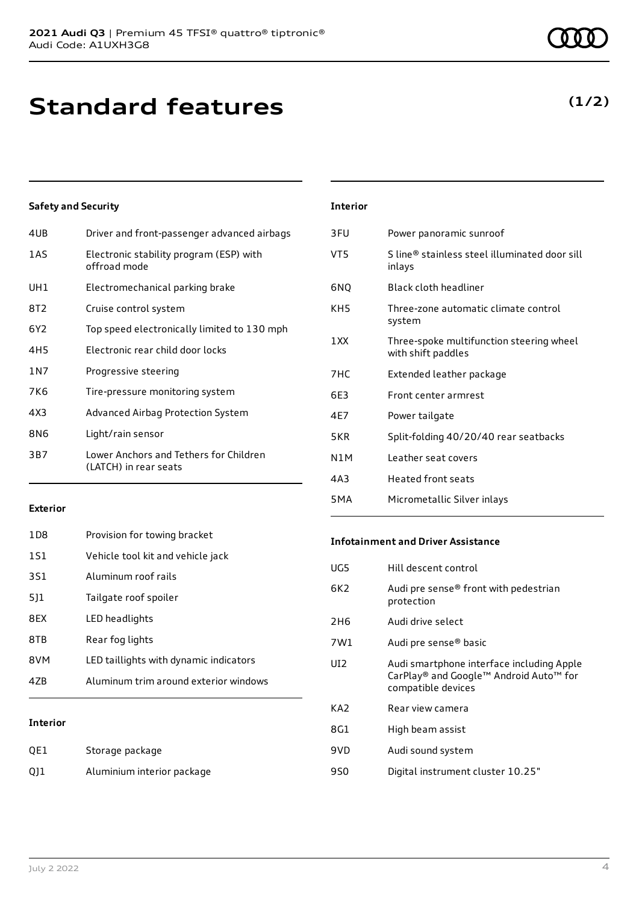## **Standard features**

#### **Safety and Security**

| 4UB   | Driver and front-passenger advanced airbags                     |
|-------|-----------------------------------------------------------------|
| 1AS   | Electronic stability program (ESP) with<br>offroad mode         |
| UH1   | Electromechanical parking brake                                 |
| 8T2   | Cruise control system                                           |
| 6Y2   | Top speed electronically limited to 130 mph                     |
| 4H5   | Electronic rear child door locks                                |
| 1 N 7 | Progressive steering                                            |
| 7K6   | Tire-pressure monitoring system                                 |
| 4X3   | Advanced Airbag Protection System                               |
| 8N6   | Light/rain sensor                                               |
| 3B7   | Lower Anchors and Tethers for Children<br>(LATCH) in rear seats |
|       |                                                                 |

| <b>Interior</b> |                                                                |
|-----------------|----------------------------------------------------------------|
| 3FU             | Power panoramic sunroof                                        |
| VT5             | S line® stainless steel illuminated door sill<br>inlays        |
| 6NQ             | Black cloth headliner                                          |
| KH5             | Three-zone automatic climate control<br>system                 |
| 1 XX            | Three-spoke multifunction steering wheel<br>with shift paddles |
| 7HC             | Extended leather package                                       |
| 6F3             | Front center armrest                                           |
| 4F7             | Power tailgate                                                 |
| 5KR             | Split-folding 40/20/40 rear seatbacks                          |
| N1M             | Leather seat covers                                            |
| 4A3             | Heated front seats                                             |
| 5MA             | Micrometallic Silver inlays                                    |

#### **Exterior**

| 47R             | Aluminum trim around exterior windows  |
|-----------------|----------------------------------------|
| 8VM             | LED taillights with dynamic indicators |
| 8TB             | Rear fog lights                        |
| 8FX             | LED headlights                         |
| 511             | Tailgate roof spoiler                  |
| 3S1             | Aluminum roof rails                    |
| 1S1             | Vehicle tool kit and vehicle jack      |
| 1D <sub>8</sub> | Provision for towing bracket           |

#### **Interior**

| QE1 | Storage package            |
|-----|----------------------------|
| Q11 | Aluminium interior package |

#### **Infotainment and Driver Assistance**

| UG5             | Hill descent control                                                                                      |
|-----------------|-----------------------------------------------------------------------------------------------------------|
| 6K2             | Audi pre sense® front with pedestrian<br>protection                                                       |
| 2H <sub>6</sub> | Audi drive select                                                                                         |
| 7W1             | Audi pre sense® basic                                                                                     |
| UI <sub>2</sub> | Audi smartphone interface including Apple<br>CarPlay® and Google™ Android Auto™ for<br>compatible devices |
| KA <sub>2</sub> | Rear view camera                                                                                          |
| 8G1             | High beam assist                                                                                          |
| 9VD             | Audi sound system                                                                                         |
| 9S0             | Digital instrument cluster 10.25"                                                                         |

### **(1/2)**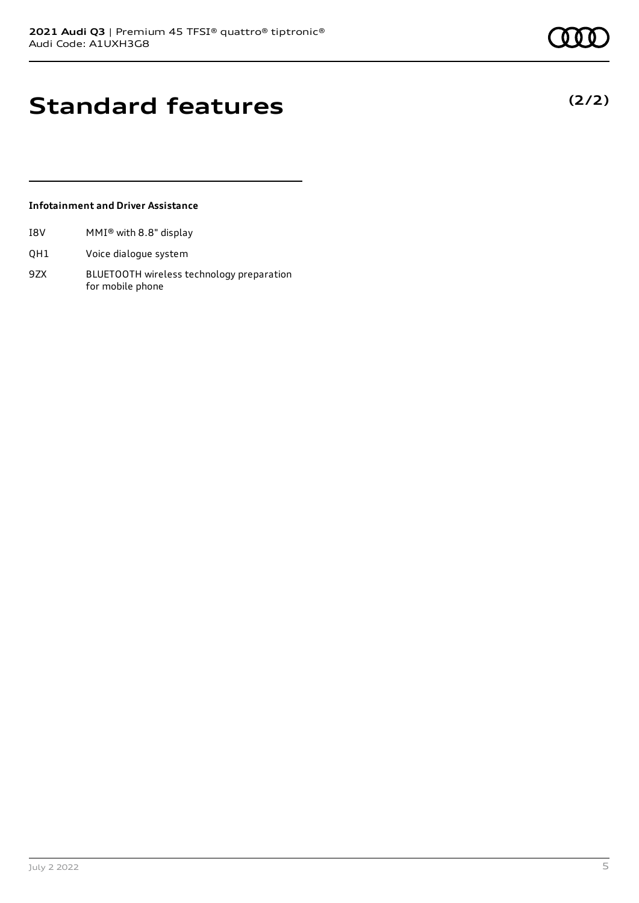**(2/2)**

## **Standard features**

#### **Infotainment and Driver Assistance**

- I8V MMI® with 8.8" display
- QH1 Voice dialogue system
- 9ZX BLUETOOTH wireless technology preparation for mobile phone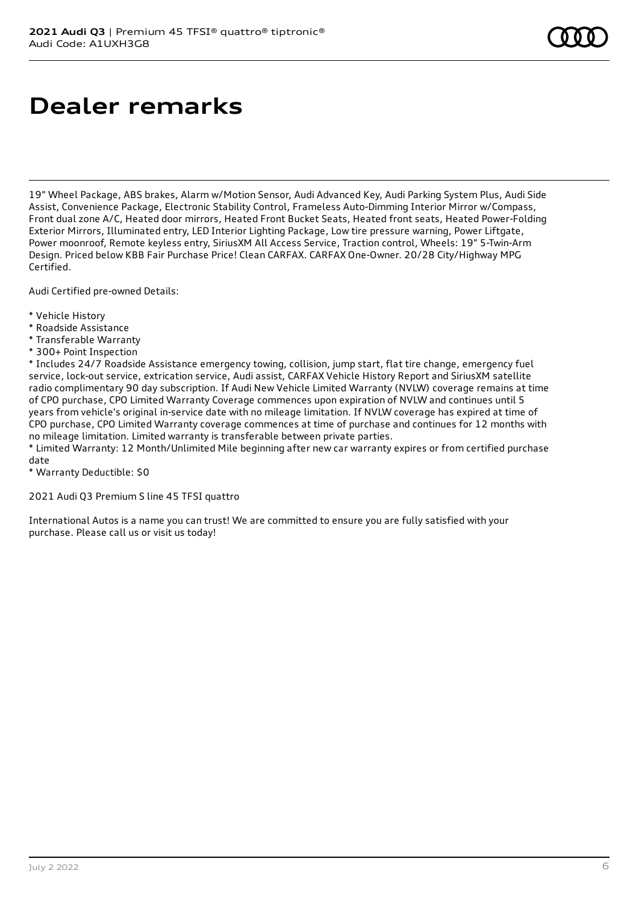# **Dealer remarks**

19" Wheel Package, ABS brakes, Alarm w/Motion Sensor, Audi Advanced Key, Audi Parking System Plus, Audi Side Assist, Convenience Package, Electronic Stability Control, Frameless Auto-Dimming Interior Mirror w/Compass, Front dual zone A/C, Heated door mirrors, Heated Front Bucket Seats, Heated front seats, Heated Power-Folding Exterior Mirrors, Illuminated entry, LED Interior Lighting Package, Low tire pressure warning, Power Liftgate, Power moonroof, Remote keyless entry, SiriusXM All Access Service, Traction control, Wheels: 19" 5-Twin-Arm Design. Priced below KBB Fair Purchase Price! Clean CARFAX. CARFAX One-Owner. 20/28 City/Highway MPG Certified.

Audi Certified pre-owned Details:

- \* Vehicle History
- \* Roadside Assistance
- \* Transferable Warranty
- \* 300+ Point Inspection

\* Includes 24/7 Roadside Assistance emergency towing, collision, jump start, flat tire change, emergency fuel service, lock-out service, extrication service, Audi assist, CARFAX Vehicle History Report and SiriusXM satellite radio complimentary 90 day subscription. If Audi New Vehicle Limited Warranty (NVLW) coverage remains at time of CPO purchase, CPO Limited Warranty Coverage commences upon expiration of NVLW and continues until 5 years from vehicle's original in-service date with no mileage limitation. If NVLW coverage has expired at time of CPO purchase, CPO Limited Warranty coverage commences at time of purchase and continues for 12 months with no mileage limitation. Limited warranty is transferable between private parties.

\* Limited Warranty: 12 Month/Unlimited Mile beginning after new car warranty expires or from certified purchase date

\* Warranty Deductible: \$0

2021 Audi Q3 Premium S line 45 TFSI quattro

International Autos is a name you can trust! We are committed to ensure you are fully satisfied with your purchase. Please call us or visit us today!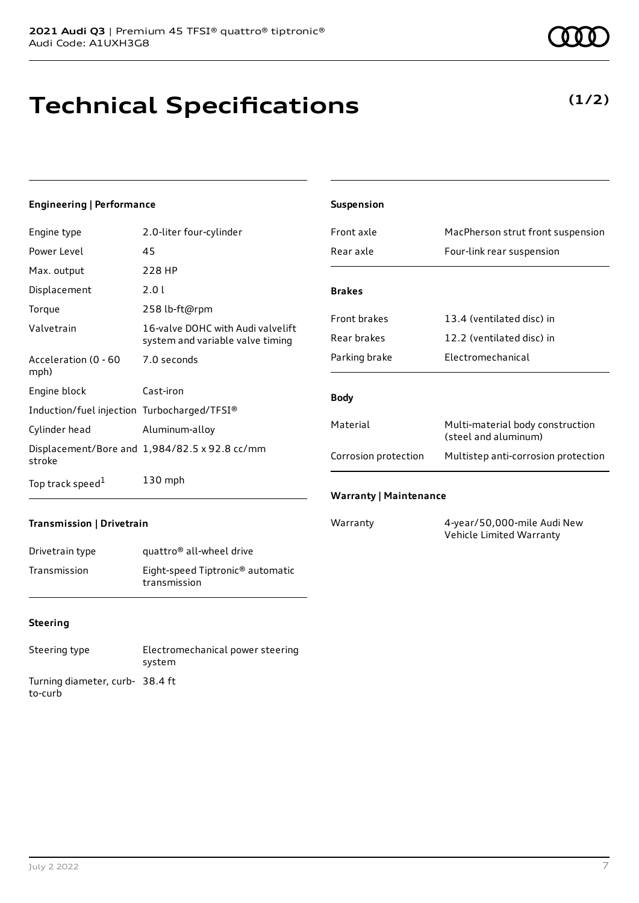# **Technical Specifications**

#### **Engineering | Performance**

| Engine type                                 | 2.0-liter four-cylinder                                               |
|---------------------------------------------|-----------------------------------------------------------------------|
| Power Level                                 | 45                                                                    |
| Max. output                                 | 228 HP                                                                |
| Displacement                                | 2.0 L                                                                 |
| Torque                                      | 258 lb-ft@rpm                                                         |
| Valvetrain                                  | 16-valve DOHC with Audi valvelift<br>system and variable valve timing |
| Acceleration (0 - 60<br>mph)                | 7.0 seconds                                                           |
| Engine block                                | Cast-iron                                                             |
| Induction/fuel injection Turbocharged/TFSI® |                                                                       |
| Cylinder head                               | Aluminum-alloy                                                        |
| stroke                                      | Displacement/Bore and 1,984/82.5 x 92.8 cc/mm                         |
| Top track speed <sup>1</sup>                | $130$ mph                                                             |

| <b>Suspension</b>             |                                                          |
|-------------------------------|----------------------------------------------------------|
| Front axle                    | MacPherson strut front suspension                        |
| Rear axle                     | Four-link rear suspension                                |
|                               |                                                          |
| <b>Brakes</b>                 |                                                          |
| <b>Front brakes</b>           | 13.4 (ventilated disc) in                                |
| Rear brakes                   | 12.2 (ventilated disc) in                                |
| Parking brake                 | <b>Electromechanical</b>                                 |
|                               |                                                          |
| <b>Body</b>                   |                                                          |
| Material                      | Multi-material body construction<br>(steel and aluminum) |
| Corrosion protection          | Multistep anti-corrosion protection                      |
| <b>Warranty   Maintenance</b> |                                                          |

#### **Transmission | Drivetrain**

| Drivetrain type | quattro <sup>®</sup> all-wheel drive                         |
|-----------------|--------------------------------------------------------------|
| Transmission    | Eight-speed Tiptronic <sup>®</sup> automatic<br>transmission |

#### **Steering**

| Steering type                             | Electromechanical power steering<br>system |
|-------------------------------------------|--------------------------------------------|
| Turning diameter, curb-38.4 ft<br>to-curb |                                            |

Warranty 4-year/50,000-mile Audi New Vehicle Limited Warranty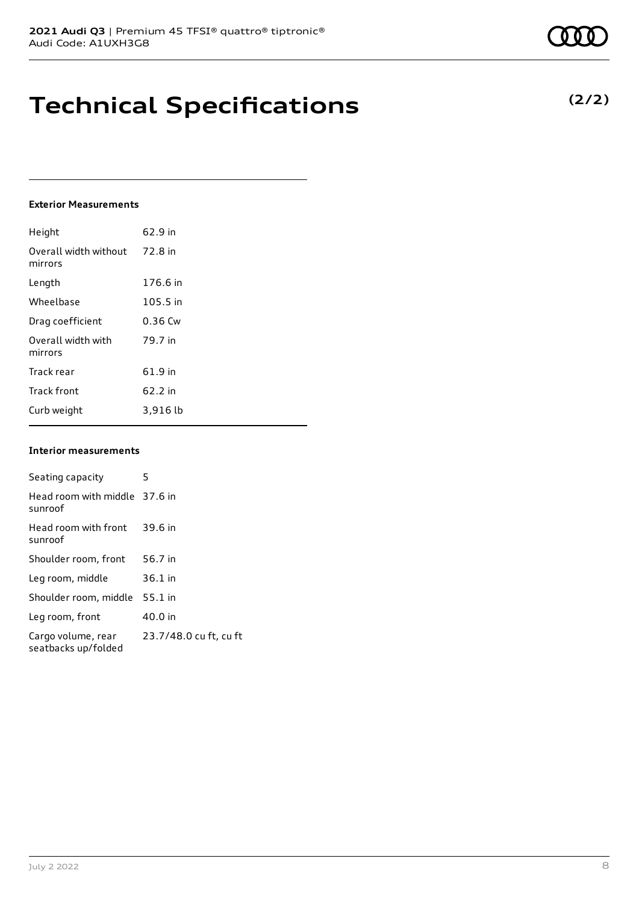## **Technical Specifications**

#### **Exterior Measurements**

| Height                           | 62.9 in   |
|----------------------------------|-----------|
| Overall width without<br>mirrors | 72.8 in   |
| Length                           | 176.6 in  |
| Wheelbase                        | 105.5 in  |
| Drag coefficient                 | $0.36$ Cw |
| Overall width with<br>mirrors    | 79.7 in   |
| Track rear                       | 61.9 in   |
| <b>Track front</b>               | 62.2 in   |
| Curb weight                      | 3,916 lb  |

#### **Interior measurements**

| Seating capacity                          | 5                      |
|-------------------------------------------|------------------------|
| Head room with middle 37.6 in<br>sunroof  |                        |
| Head room with front<br>sunroof           | 39.6 in                |
| Shoulder room, front                      | 56.7 in                |
| Leg room, middle                          | $36.1$ in              |
| Shoulder room, middle                     | $55.1$ in              |
| Leg room, front                           | 40.0 in                |
| Cargo volume, rear<br>seatbacks up/folded | 23.7/48.0 cu ft, cu ft |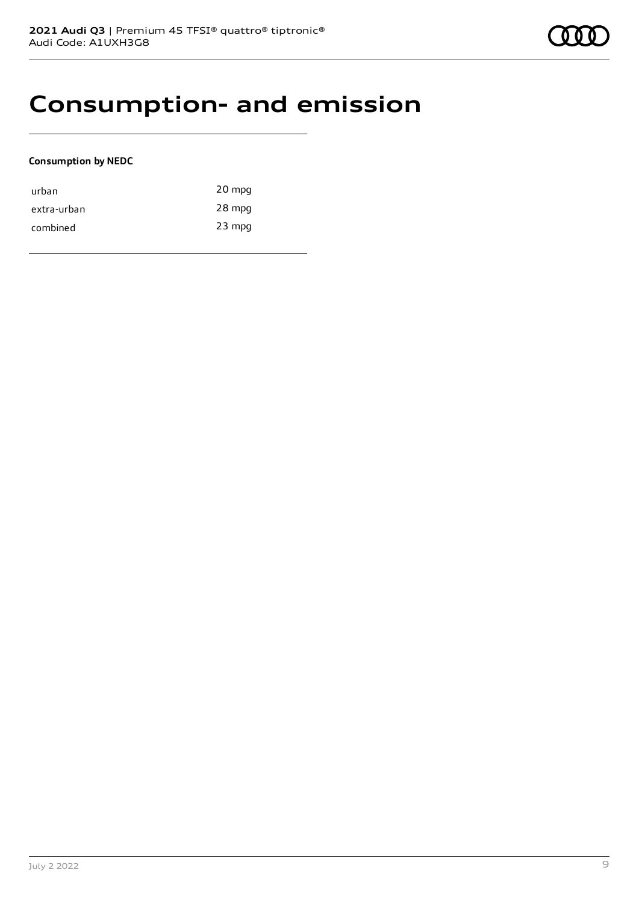### **Consumption- and emission**

#### **Consumption by NEDC**

| urban       | 20 mpg   |
|-------------|----------|
| extra-urban | 28 mpg   |
| combined    | $23$ mpg |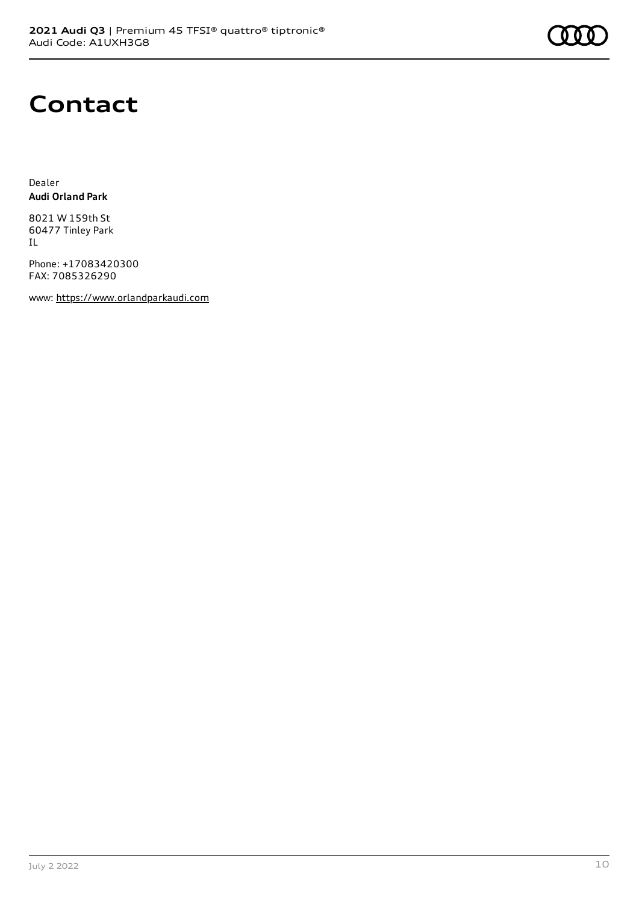

### **Contact**

Dealer **Audi Orland Park**

8021 W 159th St 60477 Tinley Park IL

Phone: +17083420300 FAX: 7085326290

www: [https://www.orlandparkaudi.com](https://www.orlandparkaudi.com/)